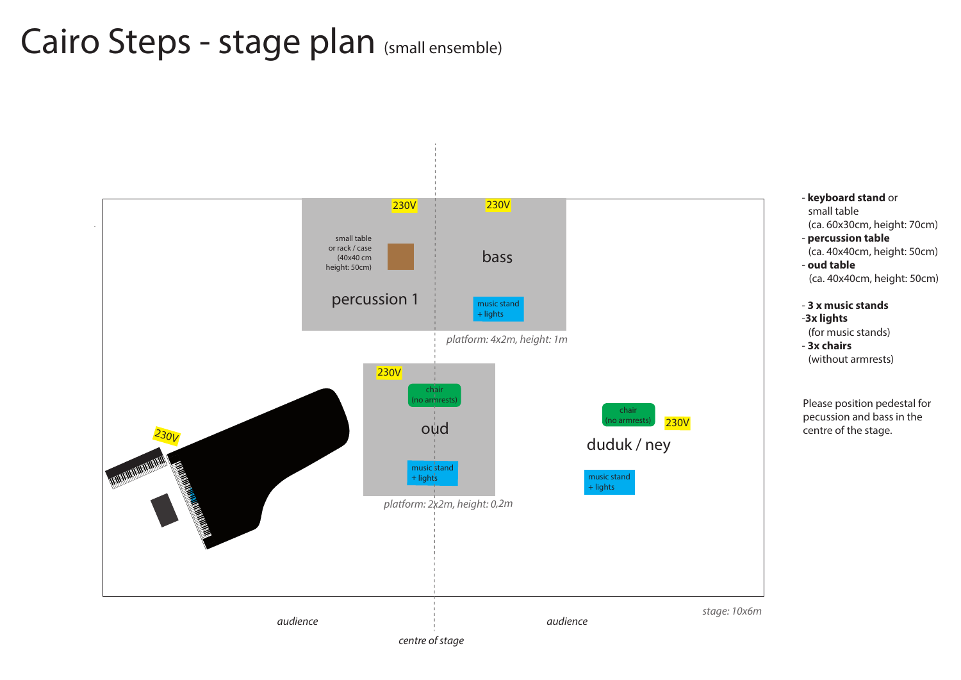### - **keyboard stand** or small table

- (ca. 60x30cm, height: 70cm)
- **percussion table** (ca. 40x40cm, height: 50cm)
- **oud table** (ca. 40x40cm, height: 50cm)

music stand + lights

## - **3 x music stands**

- -**3x lights**
- (for music stands)
- **3x chairs**  (without armrests)



Please position pedestal for pecussion and bass in the centre of the stage.

music stand + lights

*platform: 4x2m, height: 1m*

# Cairo Steps - stage plan (small ensemble)



## bass



230V